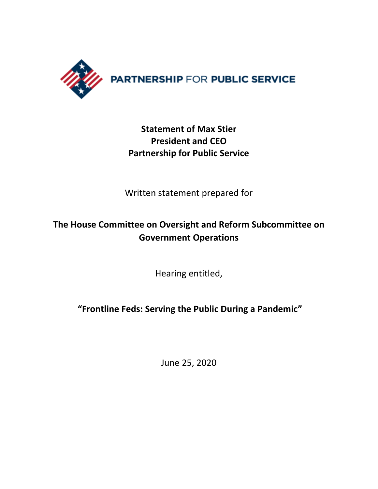

# **Statement of Max Stier President and CEO Partnership for Public Service**

Written statement prepared for

# **The House Committee on Oversight and Reform Subcommittee on Government Operations**

Hearing entitled,

**"Frontline Feds: Serving the Public During a Pandemic"**

June 25, 2020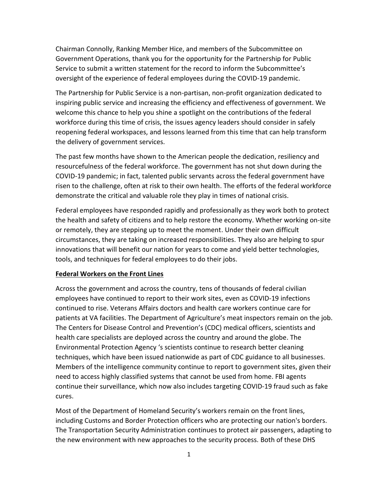Chairman Connolly, Ranking Member Hice, and members of the Subcommittee on Government Operations, thank you for the opportunity for the Partnership for Public Service to submit a written statement for the record to inform the Subcommittee's oversight of the experience of federal employees during the COVID-19 pandemic.

The Partnership for Public Service is a non-partisan, non-profit organization dedicated to inspiring public service and increasing the efficiency and effectiveness of government. We welcome this chance to help you shine a spotlight on the contributions of the federal workforce during this time of crisis, the issues agency leaders should consider in safely reopening federal workspaces, and lessons learned from this time that can help transform the delivery of government services.

The past few months have shown to the American people the dedication, resiliency and resourcefulness of the federal workforce. The government has not shut down during the COVID-19 pandemic; in fact, talented public servants across the federal government have risen to the challenge, often at risk to their own health. The efforts of the federal workforce demonstrate the critical and valuable role they play in times of national crisis.

Federal employees have responded rapidly and professionally as they work both to protect the health and safety of citizens and to help restore the economy. Whether working on-site or remotely, they are stepping up to meet the moment. Under their own difficult circumstances, they are taking on increased responsibilities. They also are helping to spur innovations that will benefit our nation for years to come and yield better technologies, tools, and techniques for federal employees to do their jobs.

### **Federal Workers on the Front Lines**

Across the government and across the country, tens of thousands of federal civilian employees have continued to report to their work sites, even as COVID-19 infections continued to rise. Veterans Affairs doctors and health care workers continue care for patients at VA facilities. The Department of Agriculture's meat inspectors remain on the job. The Centers for Disease Control and Prevention's (CDC) medical officers, scientists and health care specialists are deployed across the country and around the globe. The Environmental Protection Agency 's scientists continue to research better cleaning techniques, which have been issued nationwide as part of CDC guidance to all businesses. Members of the intelligence community continue to report to government sites, given their need to access highly classified systems that cannot be used from home. FBI agents continue their surveillance, which now also includes targeting COVID-19 fraud such as fake cures.

Most of the Department of Homeland Security's workers remain on the front lines, including Customs and Border Protection officers who are protecting our nation's borders. The Transportation Security Administration continues to protect air passengers, adapting to the new environment with new approaches to the security process. Both of these DHS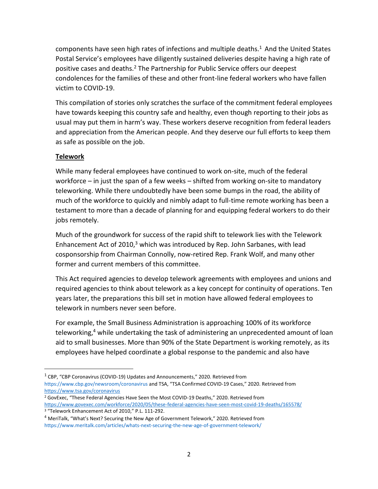components have seen high rates of infections and multiple deaths.<sup>1</sup> And the United States Postal Service's employees have diligently sustained deliveries despite having a high rate of positive cases and deaths.<sup>2</sup> The Partnership for Public Service offers our deepest condolences for the families of these and other front-line federal workers who have fallen victim to COVID-19.

This compilation of stories only scratches the surface of the commitment federal employees have towards keeping this country safe and healthy, even though reporting to their jobs as usual may put them in harm's way. These workers deserve recognition from federal leaders and appreciation from the American people. And they deserve our full efforts to keep them as safe as possible on the job.

## **Telework**

While many federal employees have continued to work on-site, much of the federal workforce – in just the span of a few weeks – shifted from working on-site to mandatory teleworking. While there undoubtedly have been some bumps in the road, the ability of much of the workforce to quickly and nimbly adapt to full-time remote working has been a testament to more than a decade of planning for and equipping federal workers to do their jobs remotely.

Much of the groundwork for success of the rapid shift to telework lies with the Telework Enhancement Act of 2010, $3$  which was introduced by Rep. John Sarbanes, with lead cosponsorship from Chairman Connolly, now-retired Rep. Frank Wolf, and many other former and current members of this committee.

This Act required agencies to develop telework agreements with employees and unions and required agencies to think about telework as a key concept for continuity of operations. Ten years later, the preparations this bill set in motion have allowed federal employees to telework in numbers never seen before.

For example, the Small Business Administration is approaching 100% of its workforce teleworking, $4$  while undertaking the task of administering an unprecedented amount of loan aid to small businesses. More than 90% of the State Department is working remotely, as its employees have helped coordinate a global response to the pandemic and also have

<sup>2</sup> GovExec, "These Federal Agencies Have Seen the Most COVID-19 Deaths," 2020. Retrieved from <https://www.govexec.com/workforce/2020/05/these-federal-agencies-have-seen-most-covid-19-deaths/165578/>

 $<sup>1</sup>$  CBP, "CBP Coronavirus (COVID-19) Updates and Announcements," 2020. Retrieved from</sup> <https://www.cbp.gov/newsroom/coronavirus> and TSA, "TSA Confirmed COVID-19 Cases," 2020. Retrieved from <https://www.tsa.gov/coronavirus>

<sup>3</sup> "Telework Enhancement Act of 2010," P.L. 111-292.

<sup>4</sup> MeriTalk, "What's Next? Securing the New Age of Government Telework," 2020. Retrieved from <https://www.meritalk.com/articles/whats-next-securing-the-new-age-of-government-telework/>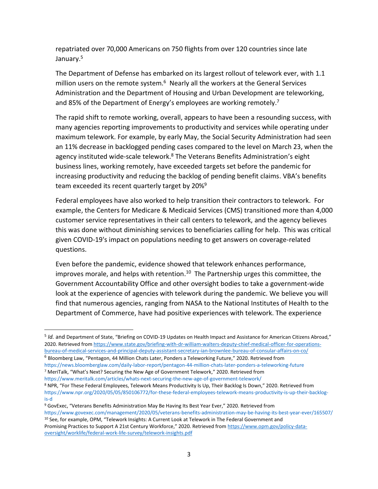repatriated over 70,000 Americans on 750 flights from over 120 countries since late January.<sup>5</sup>

The Department of Defense has embarked on its largest rollout of telework ever, with 1.1 million users on the remote system.<sup>6</sup> Nearly all the workers at the General Services Administration and the Department of Housing and Urban Development are teleworking, and 85% of the Department of Energy's employees are working remotely.<sup>7</sup>

The rapid shift to remote working, overall, appears to have been a resounding success, with many agencies reporting improvements to productivity and services while operating under maximum telework. For example, by early May, the Social Security Administration had seen an 11% decrease in backlogged pending cases compared to the level on March 23, when the agency instituted wide-scale telework. <sup>8</sup> The Veterans Benefits Administration's eight business lines, working remotely, have exceeded targets set before the pandemic for increasing productivity and reducing the backlog of pending benefit claims. VBA's benefits team exceeded its recent quarterly target by 20%<sup>9</sup>

Federal employees have also worked to help transition their contractors to telework. For example, the Centers for Medicare & Medicaid Services (CMS) transitioned more than 4,000 customer service representatives in their call centers to telework, and the agency believes this was done without diminishing services to beneficiaries calling for help. This was critical given COVID-19's impact on populations needing to get answers on coverage-related questions.

Even before the pandemic, evidence showed that telework enhances performance, improves morale, and helps with retention.<sup>10</sup> The Partnership urges this committee, the Government Accountability Office and other oversight bodies to take a government-wide look at the experience of agencies with telework during the pandemic. We believe you will find that numerous agencies, ranging from NASA to the National Institutes of Health to the Department of Commerce, have had positive experiences with telework. The experience

<sup>6</sup> Bloomberg Law, "Pentagon, 44 Million Chats Later, Ponders a Teleworking Future," 2020. Retrieved from <https://news.bloomberglaw.com/daily-labor-report/pentagon-44-million-chats-later-ponders-a-teleworking-future>

<sup>&</sup>lt;sup>5</sup> Id. and Department of State, "Briefing on COVID-19 Updates on Health Impact and Assistance for American Citizens Abroad," 2020. Retrieved from [https://www.state.gov/briefing-with-dr-william-walters-deputy-chief-medical-officer-for-operations](https://www.state.gov/briefing-with-dr-william-walters-deputy-chief-medical-officer-for-operations-bureau-of-medical-services-and-principal-deputy-assistant-secretary-ian-brownlee-bureau-of-consular-affairs-on-co/)[bureau-of-medical-services-and-principal-deputy-assistant-secretary-ian-brownlee-bureau-of-consular-affairs-on-co/](https://www.state.gov/briefing-with-dr-william-walters-deputy-chief-medical-officer-for-operations-bureau-of-medical-services-and-principal-deputy-assistant-secretary-ian-brownlee-bureau-of-consular-affairs-on-co/)

<sup>7</sup> MeriTalk, "What's Next? Securing the New Age of Government Telework," 2020. Retrieved from

<https://www.meritalk.com/articles/whats-next-securing-the-new-age-of-government-telework/> <sup>8</sup> NPR, "For These Federal Employees, Telework Means Productivity Is Up, Their Backlog Is Down," 2020. Retrieved from

[https://www.npr.org/2020/05/05/850106772/for-these-federal-employees-telework-means-productivity-is-up-their-backlog](https://www.npr.org/2020/05/05/850106772/for-these-federal-employees-telework-means-productivity-is-up-their-backlog-is-d)[is-d](https://www.npr.org/2020/05/05/850106772/for-these-federal-employees-telework-means-productivity-is-up-their-backlog-is-d)

<sup>9</sup> GovExec, "Veterans Benefits Administration May Be Having Its Best Year Ever," 2020. Retrieved from <https://www.govexec.com/management/2020/05/veterans-benefits-administration-may-be-having-its-best-year-ever/165507/> <sup>10</sup> See, for example, OPM, "Telework Insights: A Current Look at Telework in The Federal Government and Promising Practices to Support A 21st Century Workforce," 2020. Retrieved from [https://www.opm.gov/policy-data](https://www.opm.gov/policy-data-oversight/worklife/federal-work-life-survey/telework-insights.pdf)[oversight/worklife/federal-work-life-survey/telework-insights.pdf](https://www.opm.gov/policy-data-oversight/worklife/federal-work-life-survey/telework-insights.pdf)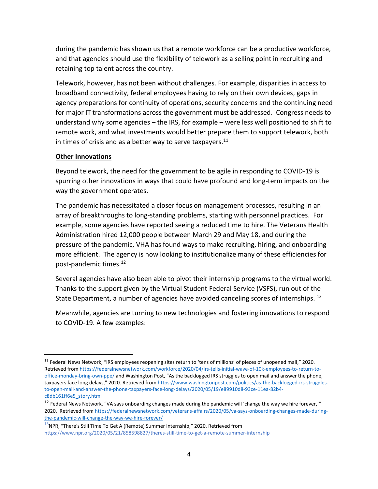during the pandemic has shown us that a remote workforce can be a productive workforce, and that agencies should use the flexibility of telework as a selling point in recruiting and retaining top talent across the country.

Telework, however, has not been without challenges. For example, disparities in access to broadband connectivity, federal employees having to rely on their own devices, gaps in agency preparations for continuity of operations, security concerns and the continuing need for major IT transformations across the government must be addressed. Congress needs to understand why some agencies – the IRS, for example – were less well positioned to shift to remote work, and what investments would better prepare them to support telework, both in times of crisis and as a better way to serve taxpayers. $^{11}$ 

### **Other Innovations**

Beyond telework, the need for the government to be agile in responding to COVID-19 is spurring other innovations in ways that could have profound and long-term impacts on the way the government operates.

The pandemic has necessitated a closer focus on management processes, resulting in an array of breakthroughs to long-standing problems, starting with personnel practices. For example, some agencies have reported seeing a reduced time to hire. The Veterans Health Administration hired 12,000 people between March 29 and May 18, and during the pressure of the pandemic, VHA has found ways to make recruiting, hiring, and onboarding more efficient. The agency is now looking to institutionalize many of these efficiencies for post-pandemic times.<sup>12</sup>

Several agencies have also been able to pivot their internship programs to the virtual world. Thanks to the support given by the Virtual Student Federal Service (VSFS), run out of the State Department, a number of agencies have avoided canceling scores of internships. <sup>13</sup>

Meanwhile, agencies are turning to new technologies and fostering innovations to respond to COVID-19. A few examples:

<sup>&</sup>lt;sup>11</sup> Federal News Network, "IRS employees reopening sites return to 'tens of millions' of pieces of unopened mail," 2020. Retrieved from [https://federalnewsnetwork.com/workforce/2020/04/irs-tells-initial-wave-of-10k-employees-to-return-to](https://federalnewsnetwork.com/workforce/2020/04/irs-tells-initial-wave-of-10k-employees-to-return-to-office-monday-bring-own-ppe/)[office-monday-bring-own-ppe/](https://federalnewsnetwork.com/workforce/2020/04/irs-tells-initial-wave-of-10k-employees-to-return-to-office-monday-bring-own-ppe/) and Washington Post, "As the backlogged IRS struggles to open mail and answer the phone, taxpayers face long delays," 2020. Retrieved from [https://www.washingtonpost.com/politics/as-the-backlogged-irs-struggles](https://www.washingtonpost.com/politics/as-the-backlogged-irs-struggles-to-open-mail-and-answer-the-phone-taxpayers-face-long-delays/2020/05/19/e89910d8-93ce-11ea-82b4-c8db161ff6e5_story.html)[to-open-mail-and-answer-the-phone-taxpayers-face-long-delays/2020/05/19/e89910d8-93ce-11ea-82b4](https://www.washingtonpost.com/politics/as-the-backlogged-irs-struggles-to-open-mail-and-answer-the-phone-taxpayers-face-long-delays/2020/05/19/e89910d8-93ce-11ea-82b4-c8db161ff6e5_story.html) [c8db161ff6e5\\_story.html](https://www.washingtonpost.com/politics/as-the-backlogged-irs-struggles-to-open-mail-and-answer-the-phone-taxpayers-face-long-delays/2020/05/19/e89910d8-93ce-11ea-82b4-c8db161ff6e5_story.html)

 $12$  Federal News Network, "VA says onboarding changes made during the pandemic will 'change the way we hire forever," 2020. Retrieved from [https://federalnewsnetwork.com/veterans-affairs/2020/05/va-says-onboarding-changes-made-during](https://federalnewsnetwork.com/veterans-affairs/2020/05/va-says-onboarding-changes-made-during-the-pandemic-will-change-the-way-we-hire-forever/)[the-pandemic-will-change-the-way-we-hire-forever/](https://federalnewsnetwork.com/veterans-affairs/2020/05/va-says-onboarding-changes-made-during-the-pandemic-will-change-the-way-we-hire-forever/)

 $13$ NPR, "There's Still Time To Get A (Remote) Summer Internship," 2020. Retrieved from https://www.npr.org/2020/05/21/858598827/theres-still-time-to-get-a-remote-summer-internship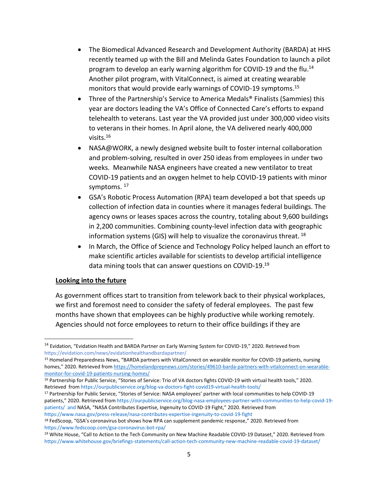- The Biomedical Advanced Research and Development Authority (BARDA) at HHS recently teamed up with the Bill and Melinda Gates Foundation to launch a pilot program to develop an early warning algorithm for COVID-19 and the flu.<sup>14</sup> Another pilot program, with VitalConnect, is aimed at creating wearable monitors that would provide early warnings of COVID-19 symptoms. 15
- Three of the Partnership's Service to America Medals® Finalists (Sammies) this year are doctors leading the VA's Office of Connected Care's efforts to expand telehealth to veterans. Last year the VA provided just under 300,000 video visits to veterans in their homes. In April alone, the VA delivered nearly 400,000 visits. 16
- NASA@WORK, a newly designed website built to foster internal collaboration and problem-solving, resulted in over 250 ideas from employees in under two weeks. Meanwhile NASA engineers have created a new ventilator to treat COVID-19 patients and an oxygen helmet to help COVID-19 patients with minor symptoms. <sup>17</sup>
- GSA's Robotic Process Automation (RPA) team developed a bot that speeds up collection of infection data in counties where it manages federal buildings. The agency owns or leases spaces across the country, totaling about 9,600 buildings in 2,200 communities. Combining county-level infection data with geographic information systems (GIS) will help to visualize the coronavirus threat. <sup>18</sup>
- In March, the Office of Science and Technology Policy helped launch an effort to make scientific articles available for scientists to develop artificial intelligence data mining tools that can answer questions on COVID-19.<sup>19</sup>

#### **Looking into the future**

As government offices start to transition from telework back to their physical workplaces, we first and foremost need to consider the safety of federal employees. The past few months have shown that employees can be highly productive while working remotely. Agencies should not force employees to return to their office buildings if they are

<sup>17</sup> Partnership for Public Service, "Stories of Service: NASA employees' partner with local communities to help COVID-19 patients," 2020. Retrieved from [https://ourpublicservice.org/blog-nasa-employees-partner-with-communities-to-help-covid-19](https://ourpublicservice.org/blog-nasa-employees-partner-with-communities-to-help-covid-19-patients/) [patients/](https://ourpublicservice.org/blog-nasa-employees-partner-with-communities-to-help-covid-19-patients/) and NASA, "NASA Contributes Expertise, Ingenuity to COVID-19 Fight," 2020. Retrieved from <https://www.nasa.gov/press-release/nasa-contributes-expertise-ingenuity-to-covid-19-fight>

<sup>&</sup>lt;sup>14</sup> Evidation, "Evidation Health and BARDA Partner on Early Warning System for COVID-19," 2020. Retrieved from https://evidation.com/news/evidationhealthandbardapartner/

<sup>15</sup> Homeland Preparedness News, "BARDA partners with VitalConnect on wearable monitor for COVID-19 patients, nursing homes," 2020. Retrieved from [https://homelandprepnews.com/stories/49610-barda-partners-with-vitalconnect-on-wearable](https://homelandprepnews.com/stories/49610-barda-partners-with-vitalconnect-on-wearable-monitor-for-covid-19-patients-nursing-homes/)[monitor-for-covid-19-patients-nursing-homes/](https://homelandprepnews.com/stories/49610-barda-partners-with-vitalconnect-on-wearable-monitor-for-covid-19-patients-nursing-homes/)

<sup>&</sup>lt;sup>16</sup> Partnership for Public Service, "Stories of Service: Trio of VA doctors fights COVID-19 with virtual health tools," 2020. Retrieved from <https://ourpublicservice.org/blog-va-doctors-fight-covid19-virtual-health-tools/>

<sup>18</sup> FedScoop, "GSA's coronavirus bot shows how RPA can supplement pandemic response," 2020. Retrieved from <https://www.fedscoop.com/gsa-coronavirus-bot-rpa/>

<sup>19</sup> White House, "Call to Action to the Tech Community on New Machine Readable COVID-19 Dataset," 2020. Retrieved from <https://www.whitehouse.gov/briefings-statements/call-action-tech-community-new-machine-readable-covid-19-dataset/>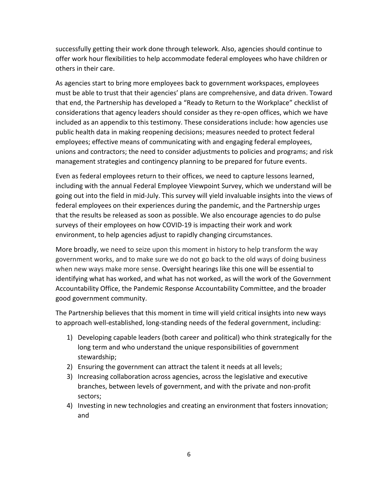successfully getting their work done through telework. Also, agencies should continue to offer work hour flexibilities to help accommodate federal employees who have children or others in their care.

As agencies start to bring more employees back to government workspaces, employees must be able to trust that their agencies' plans are comprehensive, and data driven. Toward that end, the Partnership has developed a "Ready to Return to the Workplace" checklist of considerations that agency leaders should consider as they re-open offices, which we have included as an appendix to this testimony. These considerations include: how agencies use public health data in making reopening decisions; measures needed to protect federal employees; effective means of communicating with and engaging federal employees, unions and contractors; the need to consider adjustments to policies and programs; and risk management strategies and contingency planning to be prepared for future events.

Even as federal employees return to their offices, we need to capture lessons learned, including with the annual Federal Employee Viewpoint Survey, which we understand will be going out into the field in mid-July. This survey will yield invaluable insights into the views of federal employees on their experiences during the pandemic, and the Partnership urges that the results be released as soon as possible. We also encourage agencies to do pulse surveys of their employees on how COVID-19 is impacting their work and work environment, to help agencies adjust to rapidly changing circumstances.

More broadly, we need to seize upon this moment in history to help transform the way government works, and to make sure we do not go back to the old ways of doing business when new ways make more sense. Oversight hearings like this one will be essential to identifying what has worked, and what has not worked, as will the work of the Government Accountability Office, the Pandemic Response Accountability Committee, and the broader good government community.

The Partnership believes that this moment in time will yield critical insights into new ways to approach well-established, long-standing needs of the federal government, including:

- 1) Developing capable leaders (both career and political) who think strategically for the long term and who understand the unique responsibilities of government stewardship;
- 2) Ensuring the government can attract the talent it needs at all levels;
- 3) Increasing collaboration across agencies, across the legislative and executive branches, between levels of government, and with the private and non-profit sectors;
- 4) Investing in new technologies and creating an environment that fosters innovation; and